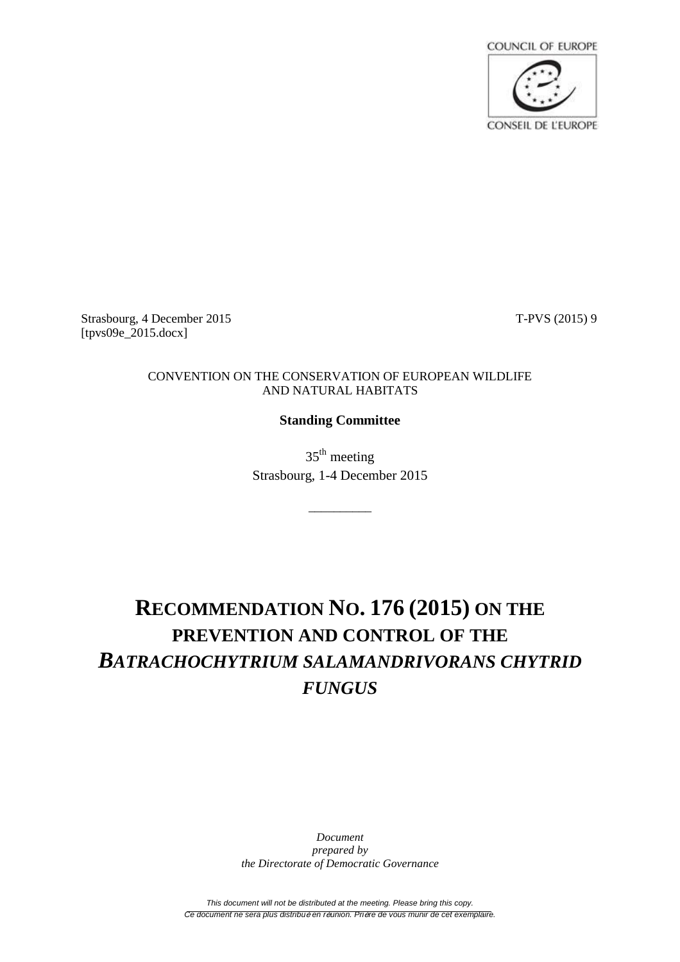

Strasbourg, 4 December 2015 T-PVS (2015) 9 [tpvs09e\_2015.docx]

## CONVENTION ON THE CONSERVATION OF EUROPEAN WILDLIFE AND NATURAL HABITATS

## **Standing Committee**

35<sup>th</sup> meeting Strasbourg, 1-4 December 2015

\_\_\_\_\_\_\_\_\_\_

## **RECOMMENDATION NO. 176 (2015) ON THE PREVENTION AND CONTROL OF THE** *BATRACHOCHYTRIUM SALAMANDRIVORANS CHYTRID FUNGUS*

*Document prepared by the Directorate of Democratic Governance*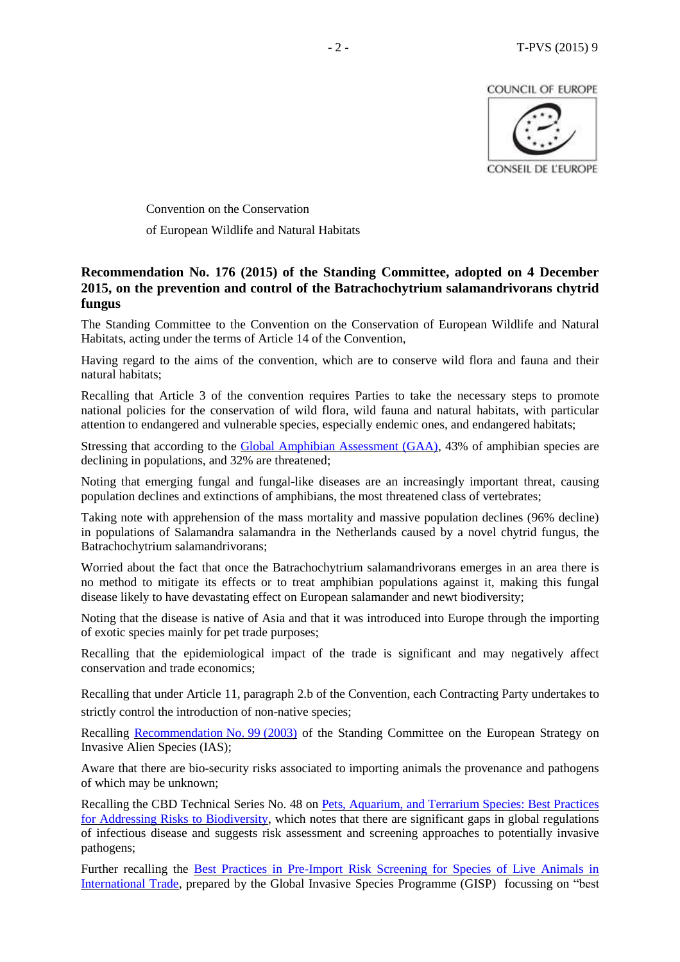**COUNCIL OF EUROPE** 



Convention on the Conservation of European Wildlife and Natural Habitats

## **Recommendation No. 176 (2015) of the Standing Committee, adopted on 4 December 2015, on the prevention and control of the Batrachochytrium salamandrivorans chytrid fungus**

The Standing Committee to the Convention on the Conservation of European Wildlife and Natural Habitats, acting under the terms of Article 14 of the Convention,

Having regard to the aims of the convention, which are to conserve wild flora and fauna and their natural habitats;

Recalling that Article 3 of the convention requires Parties to take the necessary steps to promote national policies for the conservation of wild flora, wild fauna and natural habitats, with particular attention to endangered and vulnerable species, especially endemic ones, and endangered habitats;

Stressing that according to the [Global Amphibian Assessment \(GAA\),](http://www.iucnredlist.org/initiatives/amphibians) 43% of amphibian species are declining in populations, and 32% are threatened;

Noting that emerging fungal and fungal-like diseases are an increasingly important threat, causing population declines and extinctions of amphibians, the most threatened class of vertebrates;

Taking note with apprehension of the mass mortality and massive population declines (96% decline) in populations of Salamandra salamandra in the Netherlands caused by a novel chytrid fungus, the Batrachochytrium salamandrivorans;

Worried about the fact that once the Batrachochytrium salamandrivorans emerges in an area there is no method to mitigate its effects or to treat amphibian populations against it, making this fungal disease likely to have devastating effect on European salamander and newt biodiversity;

Noting that the disease is native of Asia and that it was introduced into Europe through the importing of exotic species mainly for pet trade purposes;

Recalling that the epidemiological impact of the trade is significant and may negatively affect conservation and trade economics;

Recalling that under Article 11, paragraph 2.b of the Convention, each Contracting Party undertakes to strictly control the introduction of non-native species;

Recalling [Recommendation](https://wcd.coe.int/ViewDoc.jsp?id=1488695&Site=&BackColorInternet=B9BDEE&BackColorIntranet=FFCD4F&BackColorLogged=FFC679) No. 99 (2003) of the Standing Committee on the European Strategy on Invasive Alien Species (IAS);

Aware that there are bio-security risks associated to importing animals the provenance and pathogens of which may be unknown;

Recalling the CBD Technical Series No. 48 on [Pets, Aquarium, and Terrarium Species: Best Practices](https://www.cbd.int/doc/publications/cbd-ts-48-en.pdf)  [for Addressing Risks to Biodiversity,](https://www.cbd.int/doc/publications/cbd-ts-48-en.pdf) which notes that there are significant gaps in global regulations of infectious disease and suggests risk assessment and screening approaches to potentially invasive pathogens;

Further recalling the [Best Practices in Pre-Import Risk Screening for Species of Live Animals in](http://www.issg.org/pdf/publications/GISP/Resources/workshop-riskscreening-pettrade.pdf)  [International Trade,](http://www.issg.org/pdf/publications/GISP/Resources/workshop-riskscreening-pettrade.pdf) prepared by the Global Invasive Species Programme (GISP) focussing on "best